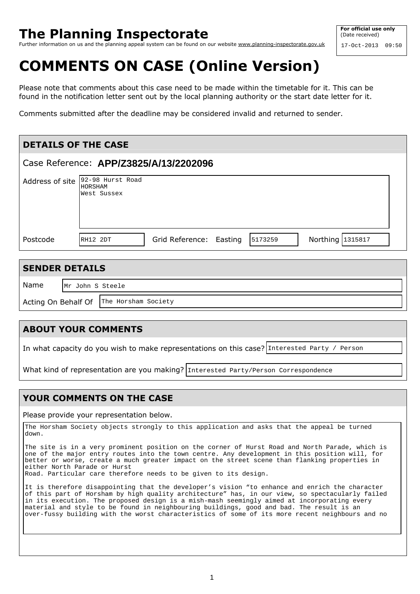## **The Planning Inspectorate**

Further information on us and the planning appeal system can be found on our website www.planning-inspectorate.gov.uk

# **COMMENTS ON CASE (Online Version)**

Please note that comments about this case need to be made within the timetable for it. This can be found in the notification letter sent out by the local planning authority or the start date letter for it.

Comments submitted after the deadline may be considered invalid and returned to sender.

| <b>DETAILS OF THE CASE</b>             |                                                                    |  |
|----------------------------------------|--------------------------------------------------------------------|--|
| Case Reference: APP/Z3825/A/13/2202096 |                                                                    |  |
| Address of site                        | 92-98 Hurst Road<br>HORSHAM<br>West Sussex                         |  |
| Postcode                               | Northing 1315817<br>Grid Reference: Easting<br>5173259<br>RH12 2DT |  |

#### **SENDER DETAILS**  Name Acting On Behalf Of The Horsham Society Mr John S Steele

### **ABOUT YOUR COMMENTS**

In what capacity do you wish to make representations on this case? Interested Party / Person

What kind of representation are you making? Interested Party/Person Correspondence

### **YOUR COMMENTS ON THE CASE**

Please provide your representation below.

The Horsham Society objects strongly to this application and asks that the appeal be turned down.

The site is in a very prominent position on the corner of Hurst Road and North Parade, which is one of the major entry routes into the town centre. Any development in this position will, for better or worse, create a much greater impact on the street scene than flanking properties in either North Parade or Hurst Road. Particular care therefore needs to be given to its design.

It is therefore disappointing that the developer's vision "to enhance and enrich the character of this part of Horsham by high quality architecture" has, in our view, so spectacularly failed in its execution. The proposed design is a mish-mash seemingly aimed at incorporating every material and style to be found in neighbouring buildings, good and bad. The result is an over-fussy building with the worst characteristics of some of its more recent neighbours and no